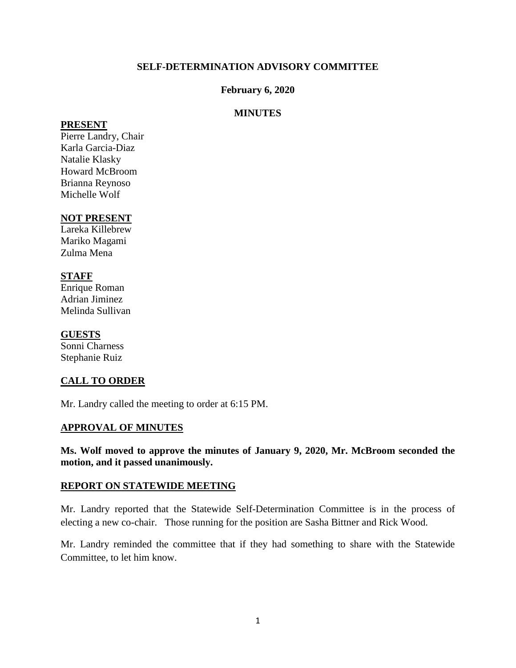### **SELF-DETERMINATION ADVISORY COMMITTEE**

### **February 6, 2020**

### **MINUTES**

#### **PRESENT**

Pierre Landry, Chair Karla Garcia-Diaz Natalie Klasky Howard McBroom Brianna Reynoso Michelle Wolf

### **NOT PRESENT**

Lareka Killebrew Mariko Magami Zulma Mena

### **STAFF**

Enrique Roman Adrian Jiminez Melinda Sullivan

### **GUESTS**

Sonni Charness Stephanie Ruiz

## **CALL TO ORDER**

Mr. Landry called the meeting to order at 6:15 PM.

### **APPROVAL OF MINUTES**

**Ms. Wolf moved to approve the minutes of January 9, 2020, Mr. McBroom seconded the motion, and it passed unanimously.** 

### **REPORT ON STATEWIDE MEETING**

Mr. Landry reported that the Statewide Self-Determination Committee is in the process of electing a new co-chair. Those running for the position are Sasha Bittner and Rick Wood.

Mr. Landry reminded the committee that if they had something to share with the Statewide Committee, to let him know.